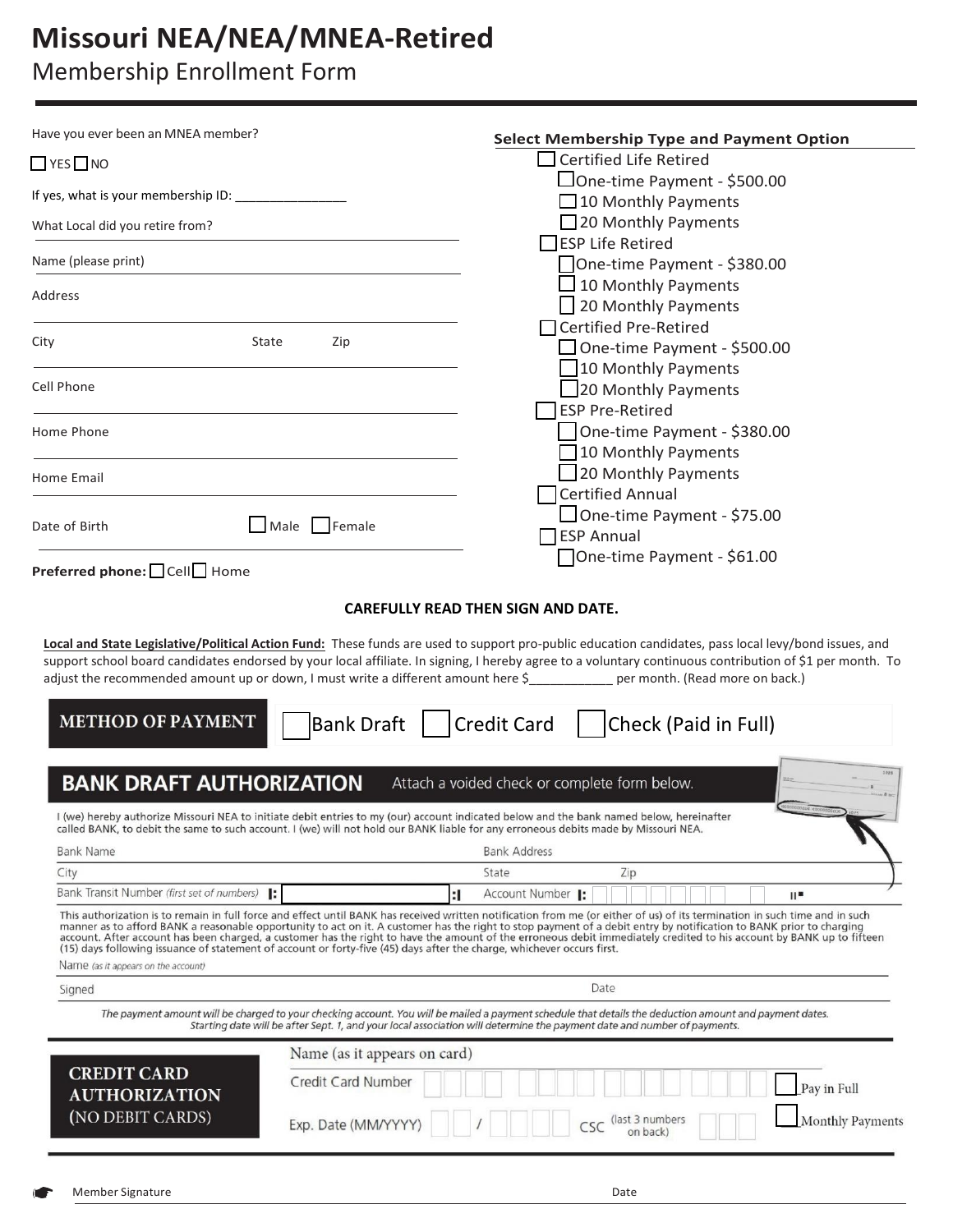# **Missouri NEA/NEA/MNEA-Retired**

## Membership Enrollment Form

| $\Box$ YES $\Box$ NO                                        |                                                                                                                                                                                                                                                                                                                                                                                                                                                                                                                                                                                                                                                       |
|-------------------------------------------------------------|-------------------------------------------------------------------------------------------------------------------------------------------------------------------------------------------------------------------------------------------------------------------------------------------------------------------------------------------------------------------------------------------------------------------------------------------------------------------------------------------------------------------------------------------------------------------------------------------------------------------------------------------------------|
|                                                             | $\Box$ Certified Life Retired                                                                                                                                                                                                                                                                                                                                                                                                                                                                                                                                                                                                                         |
|                                                             | □One-time Payment - \$500.00                                                                                                                                                                                                                                                                                                                                                                                                                                                                                                                                                                                                                          |
| If yes, what is your membership ID: ____________            | $\Box$ 10 Monthly Payments                                                                                                                                                                                                                                                                                                                                                                                                                                                                                                                                                                                                                            |
| What Local did you retire from?                             | $\Box$ 20 Monthly Payments                                                                                                                                                                                                                                                                                                                                                                                                                                                                                                                                                                                                                            |
| Name (please print)                                         | <b>IESP Life Retired</b>                                                                                                                                                                                                                                                                                                                                                                                                                                                                                                                                                                                                                              |
|                                                             | One-time Payment - \$380.00                                                                                                                                                                                                                                                                                                                                                                                                                                                                                                                                                                                                                           |
| Address                                                     | $\Box$ 10 Monthly Payments                                                                                                                                                                                                                                                                                                                                                                                                                                                                                                                                                                                                                            |
|                                                             | 30 Monthly Payments<br>□ Certified Pre-Retired                                                                                                                                                                                                                                                                                                                                                                                                                                                                                                                                                                                                        |
| City<br>State                                               | Zip<br>□ One-time Payment - \$500.00                                                                                                                                                                                                                                                                                                                                                                                                                                                                                                                                                                                                                  |
|                                                             | 10 Monthly Payments                                                                                                                                                                                                                                                                                                                                                                                                                                                                                                                                                                                                                                   |
| Cell Phone                                                  | 20 Monthly Payments                                                                                                                                                                                                                                                                                                                                                                                                                                                                                                                                                                                                                                   |
|                                                             | <b>ESP Pre-Retired</b>                                                                                                                                                                                                                                                                                                                                                                                                                                                                                                                                                                                                                                |
| Home Phone                                                  | One-time Payment - \$380.00                                                                                                                                                                                                                                                                                                                                                                                                                                                                                                                                                                                                                           |
|                                                             | $\Box$ 10 Monthly Payments                                                                                                                                                                                                                                                                                                                                                                                                                                                                                                                                                                                                                            |
| Home Email                                                  | 20 Monthly Payments                                                                                                                                                                                                                                                                                                                                                                                                                                                                                                                                                                                                                                   |
|                                                             | <b>Certified Annual</b>                                                                                                                                                                                                                                                                                                                                                                                                                                                                                                                                                                                                                               |
| Date of Birth                                               | One-time Payment - \$75.00<br>Female<br>Male                                                                                                                                                                                                                                                                                                                                                                                                                                                                                                                                                                                                          |
|                                                             | <b>ESP Annual</b>                                                                                                                                                                                                                                                                                                                                                                                                                                                                                                                                                                                                                                     |
| Preferred phone: Cell□ Home                                 | One-time Payment - \$61.00                                                                                                                                                                                                                                                                                                                                                                                                                                                                                                                                                                                                                            |
|                                                             |                                                                                                                                                                                                                                                                                                                                                                                                                                                                                                                                                                                                                                                       |
| <b>METHOD OF PAYMENT</b><br><b>BANK DRAFT AUTHORIZATION</b> | Credit Card   Check (Paid in Full)<br>Bank Draft<br>Attach a voided check or complete form below.                                                                                                                                                                                                                                                                                                                                                                                                                                                                                                                                                     |
|                                                             | I (we) hereby authorize Missouri NEA to initiate debit entries to my (our) account indicated below and the bank named below, hereinafter<br>called BANK, to debit the same to such account. I (we) will not hold our BANK liable for any erroneous debits made by Missouri NEA.                                                                                                                                                                                                                                                                                                                                                                       |
| <b>Bank Name</b>                                            | <b>Bank Address</b>                                                                                                                                                                                                                                                                                                                                                                                                                                                                                                                                                                                                                                   |
| City                                                        | Zip<br>State                                                                                                                                                                                                                                                                                                                                                                                                                                                                                                                                                                                                                                          |
| Bank Transit Number (first set of numbers)  :               | Account Number 1:<br>:1<br>"⊪                                                                                                                                                                                                                                                                                                                                                                                                                                                                                                                                                                                                                         |
| Name (as it appears on the account)                         | This authorization is to remain in full force and effect until BANK has received written notification from me (or either of us) of its termination in such time and in such<br>manner as to afford BANK a reasonable opportunity to act on it. A customer has the right to stop payment of a debit entry by notification to BANK prior to charging<br>account. After account has been charged, a customer has the right to have the amount of the erroneous debit immediately credited to his account by BANK up to fifteen<br>(15) days following issuance of statement of account or forty-five (45) days after the charge, whichever occurs first. |
| Signed                                                      | Date                                                                                                                                                                                                                                                                                                                                                                                                                                                                                                                                                                                                                                                  |
|                                                             | The payment amount will be charged to your checking account. You will be mailed a payment schedule that details the deduction amount and payment dates.                                                                                                                                                                                                                                                                                                                                                                                                                                                                                               |
|                                                             | Starting date will be after Sept. 1, and your local association will determine the payment date and number of payments.                                                                                                                                                                                                                                                                                                                                                                                                                                                                                                                               |
|                                                             | Name (as it appears on card)                                                                                                                                                                                                                                                                                                                                                                                                                                                                                                                                                                                                                          |
| <b>CREDIT CARD</b><br><b>AUTHORIZATION</b>                  | Credit Card Number<br>Pay in Full                                                                                                                                                                                                                                                                                                                                                                                                                                                                                                                                                                                                                     |